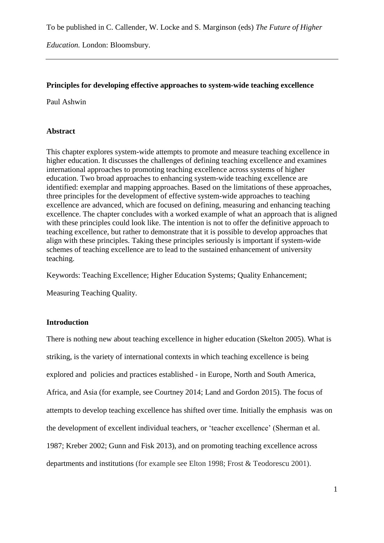To be published in C. Callender, W. Locke and S. Marginson (eds) *The Future of Higher* 

*Education.* London: Bloomsbury.

# **Principles for developing effective approaches to system-wide teaching excellence**

Paul Ashwin

## **Abstract**

This chapter explores system-wide attempts to promote and measure teaching excellence in higher education. It discusses the challenges of defining teaching excellence and examines international approaches to promoting teaching excellence across systems of higher education. Two broad approaches to enhancing system-wide teaching excellence are identified: exemplar and mapping approaches. Based on the limitations of these approaches, three principles for the development of effective system-wide approaches to teaching excellence are advanced, which are focused on defining, measuring and enhancing teaching excellence. The chapter concludes with a worked example of what an approach that is aligned with these principles could look like. The intention is not to offer the definitive approach to teaching excellence, but rather to demonstrate that it is possible to develop approaches that align with these principles. Taking these principles seriously is important if system-wide schemes of teaching excellence are to lead to the sustained enhancement of university teaching.

Keywords: Teaching Excellence; Higher Education Systems; Quality Enhancement;

Measuring Teaching Quality.

## **Introduction**

There is nothing new about teaching excellence in higher education (Skelton 2005). What is striking, is the variety of international contexts in which teaching excellence is being explored and policies and practices established - in Europe, North and South America, Africa, and Asia (for example, see Courtney 2014; Land and Gordon 2015). The focus of attempts to develop teaching excellence has shifted over time. Initially the emphasis was on the development of excellent individual teachers, or 'teacher excellence' (Sherman et al. 1987; Kreber 2002; Gunn and Fisk 2013), and on promoting teaching excellence across departments and institutions (for example see Elton 1998; Frost & Teodorescu 2001).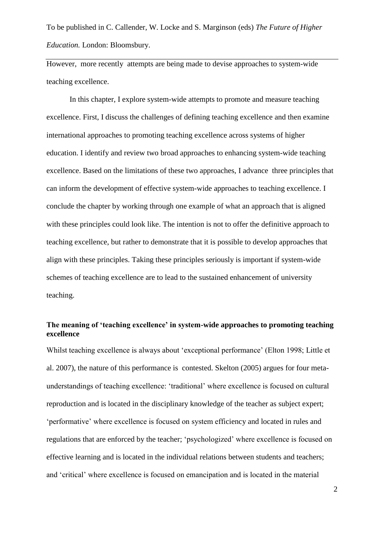However, more recently attempts are being made to devise approaches to system-wide teaching excellence.

In this chapter, I explore system-wide attempts to promote and measure teaching excellence. First, I discuss the challenges of defining teaching excellence and then examine international approaches to promoting teaching excellence across systems of higher education. I identify and review two broad approaches to enhancing system-wide teaching excellence. Based on the limitations of these two approaches, I advance three principles that can inform the development of effective system-wide approaches to teaching excellence. I conclude the chapter by working through one example of what an approach that is aligned with these principles could look like. The intention is not to offer the definitive approach to teaching excellence, but rather to demonstrate that it is possible to develop approaches that align with these principles. Taking these principles seriously is important if system-wide schemes of teaching excellence are to lead to the sustained enhancement of university teaching.

# **The meaning of 'teaching excellence' in system-wide approaches to promoting teaching excellence**

Whilst teaching excellence is always about 'exceptional performance' (Elton 1998; Little et al. 2007), the nature of this performance is contested. Skelton (2005) argues for four metaunderstandings of teaching excellence: 'traditional' where excellence is focused on cultural reproduction and is located in the disciplinary knowledge of the teacher as subject expert; 'performative' where excellence is focused on system efficiency and located in rules and regulations that are enforced by the teacher; 'psychologized' where excellence is focused on effective learning and is located in the individual relations between students and teachers; and 'critical' where excellence is focused on emancipation and is located in the material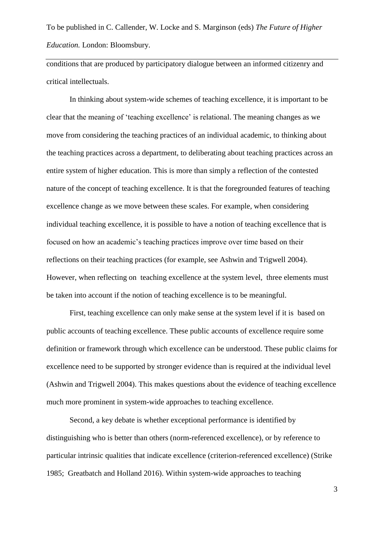conditions that are produced by participatory dialogue between an informed citizenry and critical intellectuals.

In thinking about system-wide schemes of teaching excellence, it is important to be clear that the meaning of 'teaching excellence' is relational. The meaning changes as we move from considering the teaching practices of an individual academic, to thinking about the teaching practices across a department, to deliberating about teaching practices across an entire system of higher education. This is more than simply a reflection of the contested nature of the concept of teaching excellence. It is that the foregrounded features of teaching excellence change as we move between these scales. For example, when considering individual teaching excellence, it is possible to have a notion of teaching excellence that is focused on how an academic's teaching practices improve over time based on their reflections on their teaching practices (for example, see Ashwin and Trigwell 2004). However, when reflecting on teaching excellence at the system level, three elements must be taken into account if the notion of teaching excellence is to be meaningful.

First, teaching excellence can only make sense at the system level if it is based on public accounts of teaching excellence. These public accounts of excellence require some definition or framework through which excellence can be understood. These public claims for excellence need to be supported by stronger evidence than is required at the individual level (Ashwin and Trigwell 2004). This makes questions about the evidence of teaching excellence much more prominent in system-wide approaches to teaching excellence.

Second, a key debate is whether exceptional performance is identified by distinguishing who is better than others (norm-referenced excellence), or by reference to particular intrinsic qualities that indicate excellence (criterion-referenced excellence) (Strike 1985; Greatbatch and Holland 2016). Within system-wide approaches to teaching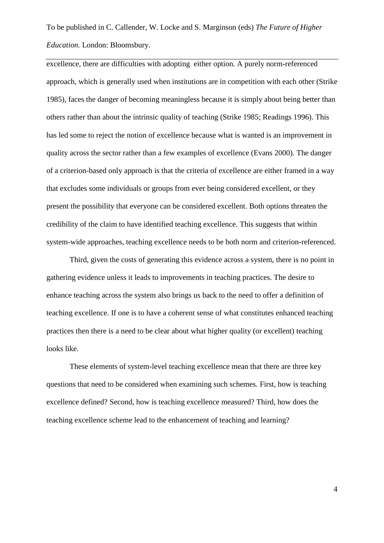excellence, there are difficulties with adopting either option. A purely norm-referenced approach, which is generally used when institutions are in competition with each other (Strike 1985), faces the danger of becoming meaningless because it is simply about being better than others rather than about the intrinsic quality of teaching (Strike 1985; Readings 1996). This has led some to reject the notion of excellence because what is wanted is an improvement in quality across the sector rather than a few examples of excellence (Evans 2000). The danger of a criterion-based only approach is that the criteria of excellence are either framed in a way that excludes some individuals or groups from ever being considered excellent, or they present the possibility that everyone can be considered excellent. Both options threaten the credibility of the claim to have identified teaching excellence. This suggests that within system-wide approaches, teaching excellence needs to be both norm and criterion-referenced.

Third, given the costs of generating this evidence across a system, there is no point in gathering evidence unless it leads to improvements in teaching practices. The desire to enhance teaching across the system also brings us back to the need to offer a definition of teaching excellence. If one is to have a coherent sense of what constitutes enhanced teaching practices then there is a need to be clear about what higher quality (or excellent) teaching looks like.

These elements of system-level teaching excellence mean that there are three key questions that need to be considered when examining such schemes. First, how is teaching excellence defined? Second, how is teaching excellence measured? Third, how does the teaching excellence scheme lead to the enhancement of teaching and learning?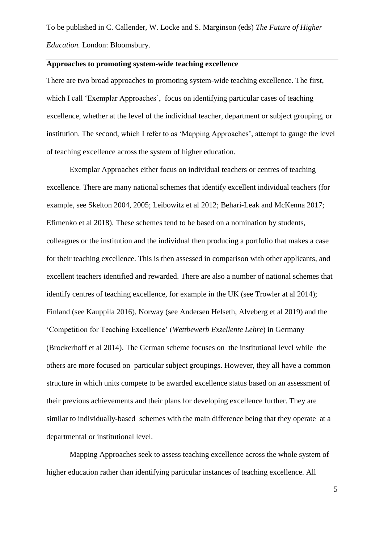# **Approaches to promoting system-wide teaching excellence**

There are two broad approaches to promoting system-wide teaching excellence. The first, which I call 'Exemplar Approaches', focus on identifying particular cases of teaching excellence, whether at the level of the individual teacher, department or subject grouping, or institution. The second, which I refer to as 'Mapping Approaches', attempt to gauge the level of teaching excellence across the system of higher education.

Exemplar Approaches either focus on individual teachers or centres of teaching excellence. There are many national schemes that identify excellent individual teachers (for example, see Skelton 2004, 2005; Leibowitz et al 2012; Behari-Leak and McKenna 2017; Efimenko et al 2018). These schemes tend to be based on a nomination by students, colleagues or the institution and the individual then producing a portfolio that makes a case for their teaching excellence. This is then assessed in comparison with other applicants, and excellent teachers identified and rewarded. There are also a number of national schemes that identify centres of teaching excellence, for example in the UK (see Trowler at al 2014); Finland (see Kauppila 2016), Norway (see Andersen Helseth, Alveberg et al 2019) and the 'Competition for Teaching Excellence' (*Wettbewerb Exzellente Lehre*) in Germany (Brockerhoff et al 2014). The German scheme focuses on the institutional level while the others are more focused on particular subject groupings. However, they all have a common structure in which units compete to be awarded excellence status based on an assessment of their previous achievements and their plans for developing excellence further. They are similar to individually-based schemes with the main difference being that they operate at a departmental or institutional level.

Mapping Approaches seek to assess teaching excellence across the whole system of higher education rather than identifying particular instances of teaching excellence. All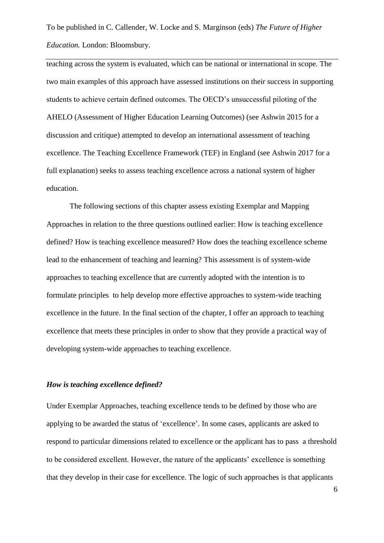teaching across the system is evaluated, which can be national or international in scope. The two main examples of this approach have assessed institutions on their success in supporting students to achieve certain defined outcomes. The OECD's unsuccessful piloting of the AHELO (Assessment of Higher Education Learning Outcomes) (see Ashwin 2015 for a discussion and critique) attempted to develop an international assessment of teaching excellence. The Teaching Excellence Framework (TEF) in England (see Ashwin 2017 for a full explanation) seeks to assess teaching excellence across a national system of higher education.

The following sections of this chapter assess existing Exemplar and Mapping Approaches in relation to the three questions outlined earlier: How is teaching excellence defined? How is teaching excellence measured? How does the teaching excellence scheme lead to the enhancement of teaching and learning? This assessment is of system-wide approaches to teaching excellence that are currently adopted with the intention is to formulate principles to help develop more effective approaches to system-wide teaching excellence in the future. In the final section of the chapter, I offer an approach to teaching excellence that meets these principles in order to show that they provide a practical way of developing system-wide approaches to teaching excellence.

# *How is teaching excellence defined?*

Under Exemplar Approaches, teaching excellence tends to be defined by those who are applying to be awarded the status of 'excellence'. In some cases, applicants are asked to respond to particular dimensions related to excellence or the applicant has to pass a threshold to be considered excellent. However, the nature of the applicants' excellence is something that they develop in their case for excellence. The logic of such approaches is that applicants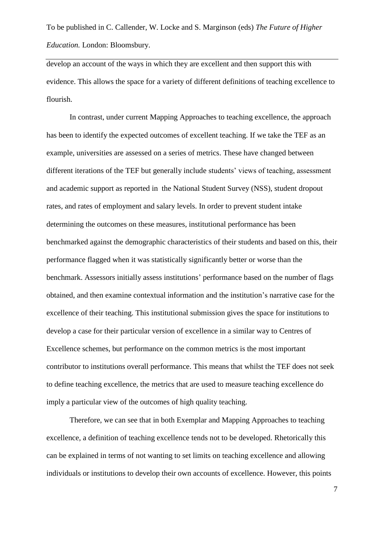develop an account of the ways in which they are excellent and then support this with evidence. This allows the space for a variety of different definitions of teaching excellence to flourish.

In contrast, under current Mapping Approaches to teaching excellence, the approach has been to identify the expected outcomes of excellent teaching. If we take the TEF as an example, universities are assessed on a series of metrics. These have changed between different iterations of the TEF but generally include students' views of teaching, assessment and academic support as reported in the National Student Survey (NSS), student dropout rates, and rates of employment and salary levels. In order to prevent student intake determining the outcomes on these measures, institutional performance has been benchmarked against the demographic characteristics of their students and based on this, their performance flagged when it was statistically significantly better or worse than the benchmark. Assessors initially assess institutions' performance based on the number of flags obtained, and then examine contextual information and the institution's narrative case for the excellence of their teaching. This institutional submission gives the space for institutions to develop a case for their particular version of excellence in a similar way to Centres of Excellence schemes, but performance on the common metrics is the most important contributor to institutions overall performance. This means that whilst the TEF does not seek to define teaching excellence, the metrics that are used to measure teaching excellence do imply a particular view of the outcomes of high quality teaching.

Therefore, we can see that in both Exemplar and Mapping Approaches to teaching excellence, a definition of teaching excellence tends not to be developed. Rhetorically this can be explained in terms of not wanting to set limits on teaching excellence and allowing individuals or institutions to develop their own accounts of excellence. However, this points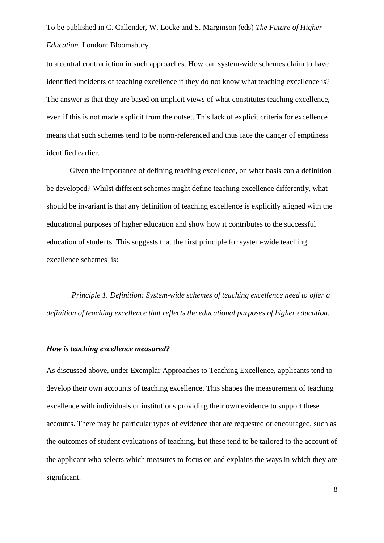to a central contradiction in such approaches. How can system-wide schemes claim to have identified incidents of teaching excellence if they do not know what teaching excellence is? The answer is that they are based on implicit views of what constitutes teaching excellence, even if this is not made explicit from the outset. This lack of explicit criteria for excellence means that such schemes tend to be norm-referenced and thus face the danger of emptiness identified earlier.

Given the importance of defining teaching excellence, on what basis can a definition be developed? Whilst different schemes might define teaching excellence differently, what should be invariant is that any definition of teaching excellence is explicitly aligned with the educational purposes of higher education and show how it contributes to the successful education of students. This suggests that the first principle for system-wide teaching excellence schemes is:

*Principle 1. Definition: System-wide schemes of teaching excellence need to offer a definition of teaching excellence that reflects the educational purposes of higher education.*

#### *How is teaching excellence measured?*

As discussed above, under Exemplar Approaches to Teaching Excellence, applicants tend to develop their own accounts of teaching excellence. This shapes the measurement of teaching excellence with individuals or institutions providing their own evidence to support these accounts. There may be particular types of evidence that are requested or encouraged, such as the outcomes of student evaluations of teaching, but these tend to be tailored to the account of the applicant who selects which measures to focus on and explains the ways in which they are significant.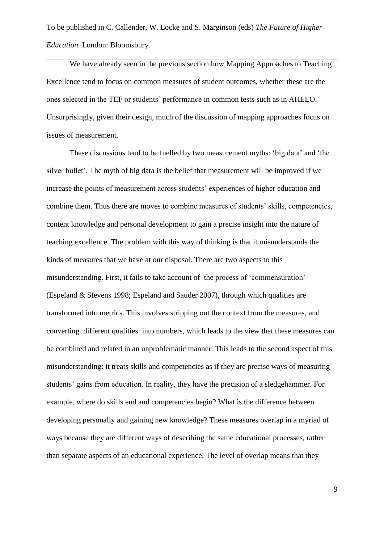We have already seen in the previous section how Mapping Approaches to Teaching Excellence tend to focus on common measures of student outcomes, whether these are the ones selected in the TEF or students' performance in common tests such as in AHELO. Unsurprisingly, given their design, much of the discussion of mapping approaches focus on issues of measurement.

These discussions tend to be fuelled by two measurement myths: 'big data' and 'the silver bullet'. The myth of big data is the belief that measurement will be improved if we increase the points of measurement across students' experiences of higher education and combine them. Thus there are moves to combine measures of students' skills, competencies, content knowledge and personal development to gain a precise insight into the nature of teaching excellence. The problem with this way of thinking is that it misunderstands the kinds of measures that we have at our disposal. There are two aspects to this misunderstanding. First, it fails to take account of the process of 'commensuration' (Espeland & Stevens 1998; Espeland and Sauder 2007), through which qualities are transformed into metrics. This involves stripping out the context from the measures, and converting different qualities into numbers, which leads to the view that these measures can be combined and related in an unproblematic manner. This leads to the second aspect of this misunderstanding: it treats skills and competencies as if they are precise ways of measuring students' gains from education. In reality, they have the precision of a sledgehammer. For example, where do skills end and competencies begin? What is the difference between developing personally and gaining new knowledge? These measures overlap in a myriad of ways because they are different ways of describing the same educational processes, rather than separate aspects of an educational experience. The level of overlap means that they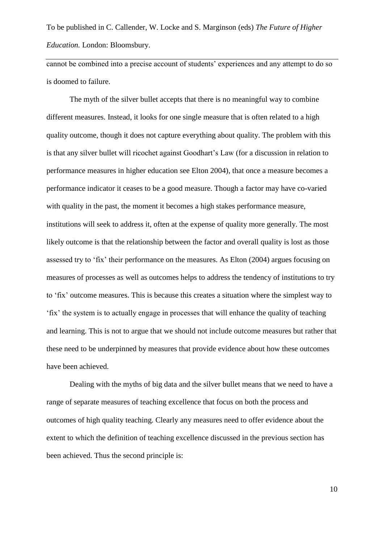cannot be combined into a precise account of students' experiences and any attempt to do so is doomed to failure.

The myth of the silver bullet accepts that there is no meaningful way to combine different measures. Instead, it looks for one single measure that is often related to a high quality outcome, though it does not capture everything about quality. The problem with this is that any silver bullet will ricochet against Goodhart's Law (for a discussion in relation to performance measures in higher education see Elton 2004), that once a measure becomes a performance indicator it ceases to be a good measure. Though a factor may have co-varied with quality in the past, the moment it becomes a high stakes performance measure, institutions will seek to address it, often at the expense of quality more generally. The most likely outcome is that the relationship between the factor and overall quality is lost as those assessed try to 'fix' their performance on the measures. As Elton (2004) argues focusing on measures of processes as well as outcomes helps to address the tendency of institutions to try to 'fix' outcome measures. This is because this creates a situation where the simplest way to 'fix' the system is to actually engage in processes that will enhance the quality of teaching and learning. This is not to argue that we should not include outcome measures but rather that these need to be underpinned by measures that provide evidence about how these outcomes have been achieved.

Dealing with the myths of big data and the silver bullet means that we need to have a range of separate measures of teaching excellence that focus on both the process and outcomes of high quality teaching. Clearly any measures need to offer evidence about the extent to which the definition of teaching excellence discussed in the previous section has been achieved. Thus the second principle is: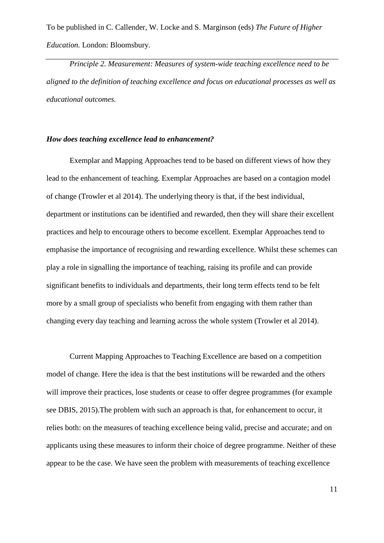*Principle 2. Measurement: Measures of system-wide teaching excellence need to be aligned to the definition of teaching excellence and focus on educational processes as well as educational outcomes.*

## *How does teaching excellence lead to enhancement?*

Exemplar and Mapping Approaches tend to be based on different views of how they lead to the enhancement of teaching. Exemplar Approaches are based on a contagion model of change (Trowler et al 2014). The underlying theory is that, if the best individual, department or institutions can be identified and rewarded, then they will share their excellent practices and help to encourage others to become excellent. Exemplar Approaches tend to emphasise the importance of recognising and rewarding excellence. Whilst these schemes can play a role in signalling the importance of teaching, raising its profile and can provide significant benefits to individuals and departments, their long term effects tend to be felt more by a small group of specialists who benefit from engaging with them rather than changing every day teaching and learning across the whole system (Trowler et al 2014).

Current Mapping Approaches to Teaching Excellence are based on a competition model of change. Here the idea is that the best institutions will be rewarded and the others will improve their practices, lose students or cease to offer degree programmes (for example see DBIS, 2015).The problem with such an approach is that, for enhancement to occur, it relies both: on the measures of teaching excellence being valid, precise and accurate; and on applicants using these measures to inform their choice of degree programme. Neither of these appear to be the case. We have seen the problem with measurements of teaching excellence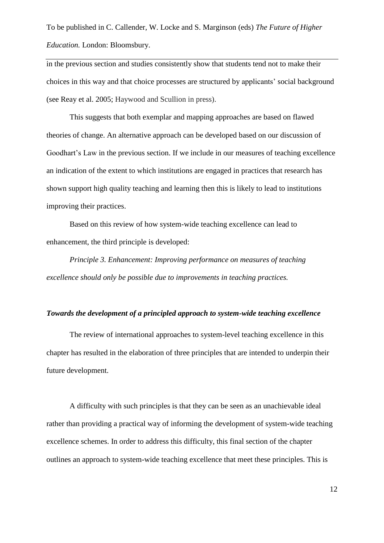in the previous section and studies consistently show that students tend not to make their choices in this way and that choice processes are structured by applicants' social background (see Reay et al. 2005; Haywood and Scullion in press).

This suggests that both exemplar and mapping approaches are based on flawed theories of change. An alternative approach can be developed based on our discussion of Goodhart's Law in the previous section. If we include in our measures of teaching excellence an indication of the extent to which institutions are engaged in practices that research has shown support high quality teaching and learning then this is likely to lead to institutions improving their practices.

Based on this review of how system-wide teaching excellence can lead to enhancement, the third principle is developed:

*Principle 3. Enhancement: Improving performance on measures of teaching excellence should only be possible due to improvements in teaching practices.* 

#### *Towards the development of a principled approach to system-wide teaching excellence*

The review of international approaches to system-level teaching excellence in this chapter has resulted in the elaboration of three principles that are intended to underpin their future development.

A difficulty with such principles is that they can be seen as an unachievable ideal rather than providing a practical way of informing the development of system-wide teaching excellence schemes. In order to address this difficulty, this final section of the chapter outlines an approach to system-wide teaching excellence that meet these principles. This is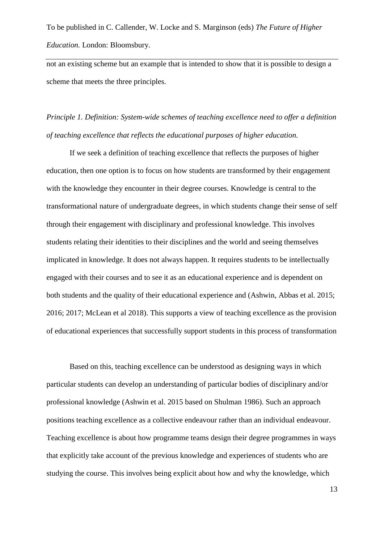not an existing scheme but an example that is intended to show that it is possible to design a scheme that meets the three principles.

*Principle 1. Definition: System-wide schemes of teaching excellence need to offer a definition of teaching excellence that reflects the educational purposes of higher education.*

If we seek a definition of teaching excellence that reflects the purposes of higher education, then one option is to focus on how students are transformed by their engagement with the knowledge they encounter in their degree courses. Knowledge is central to the transformational nature of undergraduate degrees, in which students change their sense of self through their engagement with disciplinary and professional knowledge. This involves students relating their identities to their disciplines and the world and seeing themselves implicated in knowledge. It does not always happen. It requires students to be intellectually engaged with their courses and to see it as an educational experience and is dependent on both students and the quality of their educational experience and (Ashwin, Abbas et al. 2015; 2016; 2017; McLean et al 2018). This supports a view of teaching excellence as the provision of educational experiences that successfully support students in this process of transformation

Based on this, teaching excellence can be understood as designing ways in which particular students can develop an understanding of particular bodies of disciplinary and/or professional knowledge (Ashwin et al. 2015 based on Shulman 1986). Such an approach positions teaching excellence as a collective endeavour rather than an individual endeavour. Teaching excellence is about how programme teams design their degree programmes in ways that explicitly take account of the previous knowledge and experiences of students who are studying the course. This involves being explicit about how and why the knowledge, which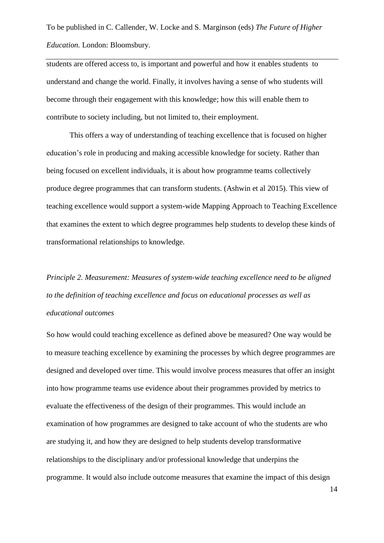students are offered access to, is important and powerful and how it enables students to understand and change the world. Finally, it involves having a sense of who students will become through their engagement with this knowledge; how this will enable them to contribute to society including, but not limited to, their employment.

This offers a way of understanding of teaching excellence that is focused on higher education's role in producing and making accessible knowledge for society. Rather than being focused on excellent individuals, it is about how programme teams collectively produce degree programmes that can transform students. (Ashwin et al 2015). This view of teaching excellence would support a system-wide Mapping Approach to Teaching Excellence that examines the extent to which degree programmes help students to develop these kinds of transformational relationships to knowledge.

*Principle 2. Measurement: Measures of system-wide teaching excellence need to be aligned to the definition of teaching excellence and focus on educational processes as well as educational outcomes*

So how would could teaching excellence as defined above be measured? One way would be to measure teaching excellence by examining the processes by which degree programmes are designed and developed over time. This would involve process measures that offer an insight into how programme teams use evidence about their programmes provided by metrics to evaluate the effectiveness of the design of their programmes. This would include an examination of how programmes are designed to take account of who the students are who are studying it, and how they are designed to help students develop transformative relationships to the disciplinary and/or professional knowledge that underpins the programme. It would also include outcome measures that examine the impact of this design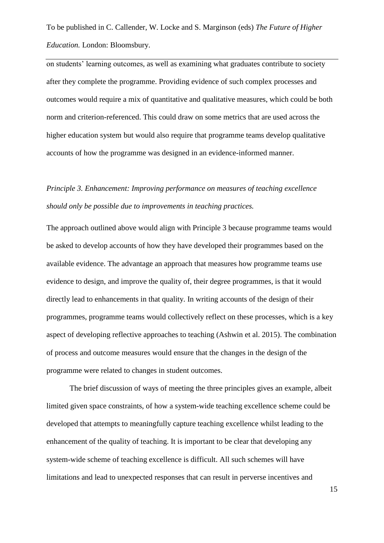on students' learning outcomes, as well as examining what graduates contribute to society after they complete the programme. Providing evidence of such complex processes and outcomes would require a mix of quantitative and qualitative measures, which could be both norm and criterion-referenced. This could draw on some metrics that are used across the higher education system but would also require that programme teams develop qualitative accounts of how the programme was designed in an evidence-informed manner.

# *Principle 3. Enhancement: Improving performance on measures of teaching excellence should only be possible due to improvements in teaching practices.*

The approach outlined above would align with Principle 3 because programme teams would be asked to develop accounts of how they have developed their programmes based on the available evidence. The advantage an approach that measures how programme teams use evidence to design, and improve the quality of, their degree programmes, is that it would directly lead to enhancements in that quality. In writing accounts of the design of their programmes, programme teams would collectively reflect on these processes, which is a key aspect of developing reflective approaches to teaching (Ashwin et al. 2015). The combination of process and outcome measures would ensure that the changes in the design of the programme were related to changes in student outcomes.

The brief discussion of ways of meeting the three principles gives an example, albeit limited given space constraints, of how a system-wide teaching excellence scheme could be developed that attempts to meaningfully capture teaching excellence whilst leading to the enhancement of the quality of teaching. It is important to be clear that developing any system-wide scheme of teaching excellence is difficult. All such schemes will have limitations and lead to unexpected responses that can result in perverse incentives and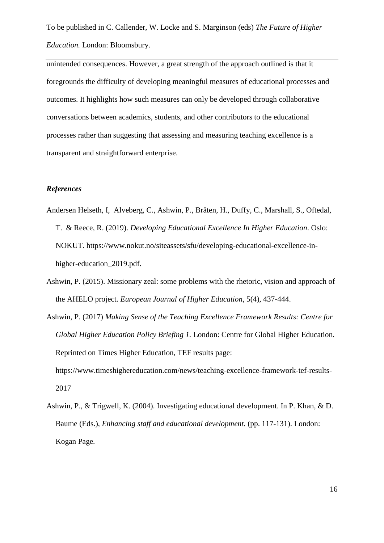unintended consequences. However, a great strength of the approach outlined is that it foregrounds the difficulty of developing meaningful measures of educational processes and outcomes. It highlights how such measures can only be developed through collaborative conversations between academics, students, and other contributors to the educational processes rather than suggesting that assessing and measuring teaching excellence is a transparent and straightforward enterprise.

## *References*

[2017](https://www.timeshighereducation.com/news/teaching-excellence-framework-tef-results-2017)

- Andersen Helseth, I, Alveberg, C., Ashwin, P., Bråten, H., Duffy, C., Marshall, S., Oftedal, T. & Reece, R. (2019). *Developing Educational Excellence In Higher Education*. Oslo: NOKUT. https://www.nokut.no/siteassets/sfu/developing-educational-excellence-inhigher-education\_2019.pdf.
- Ashwin, P. (2015). Missionary zeal: some problems with the rhetoric, vision and approach of the AHELO project. *European Journal of Higher Education*, 5(4), 437-444.
- Ashwin, P. (2017) *Making Sense of the Teaching Excellence Framework Results: Centre for Global Higher Education Policy Briefing 1.* London: Centre for Global Higher Education. Reprinted on Times Higher Education, TEF results page: [https://www.timeshighereducation.com/news/teaching-excellence-framework-tef-results-](https://www.timeshighereducation.com/news/teaching-excellence-framework-tef-results-2017)

Ashwin, P., & Trigwell, K. (2004). Investigating educational development. In P. Khan, & D. Baume (Eds.), *Enhancing staff and educational development.* (pp. 117-131). London: Kogan Page.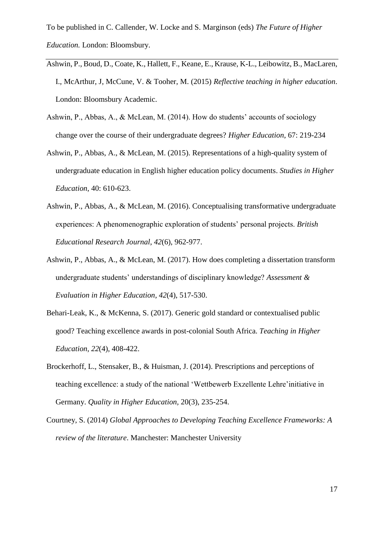- [Ashwin, P.,](http://www.research.lancs.ac.uk/portal/en/people/paul-ashwin(0ed574bb-9b78-486d-bb0f-b555cf7aafea).html) Boud, D., Coate, K., Hallett, F., Keane, E., Krause, K-L., Leibowitz, B., MacLaren, I[., McArthur, J,](http://www.research.lancs.ac.uk/portal/en/people/jan-mcarthur(0be8603b-3e94-4aaa-9759-4a5a09ac46bd).html) McCune, V. & Tooher, M. (2015) *[Reflective teaching in higher education](http://www.research.lancs.ac.uk/portal/en/publications/reflective-teaching-in-higher-education(2911d09d-6d89-4185-8a92-2e0fa27773aa).html)*. London: Bloomsbury Academic.
- Ashwin, P., Abbas, A., & McLean, M. (2014). How do students' accounts of sociology change over the course of their undergraduate degrees? *Higher Education*, 67: 219-234
- Ashwin, P., Abbas, A., & McLean, M. (2015). [Representations of a high-quality system of](http://www.research.lancs.ac.uk/portal/en/publications/representations-of-a-highquality-system-of-undergraduate-education-in-english-higher-education-policy-documents(e7b64382-b2fd-4810-be30-998c7f9c23d5).html)  [undergraduate education in English higher education policy documents.](http://www.research.lancs.ac.uk/portal/en/publications/representations-of-a-highquality-system-of-undergraduate-education-in-english-higher-education-policy-documents(e7b64382-b2fd-4810-be30-998c7f9c23d5).html) *Studies in Higher Education*, 40: 610-623.
- Ashwin, P., Abbas, A., & McLean, M. (2016). Conceptualising transformative undergraduate experiences: A phenomenographic exploration of students' personal projects. *British Educational Research Journal*, *42*(6), 962-977.
- Ashwin, P., Abbas, A., & McLean, M. (2017). How does completing a dissertation transform undergraduate students' understandings of disciplinary knowledge? *Assessment & Evaluation in Higher Education*, *42*(4), 517-530.
- Behari-Leak, K., & McKenna, S. (2017). Generic gold standard or contextualised public good? Teaching excellence awards in post-colonial South Africa. *Teaching in Higher Education*, *22*(4), 408-422.
- Brockerhoff, L., Stensaker, B., & Huisman, J. (2014). Prescriptions and perceptions of teaching excellence: a study of the national 'Wettbewerb Exzellente Lehre'initiative in Germany. *Quality in Higher Education,* 20(3), 235-254.
- Courtney, S. (2014) *Global Approaches to Developing Teaching Excellence Frameworks: A review of the literature*. Manchester: Manchester University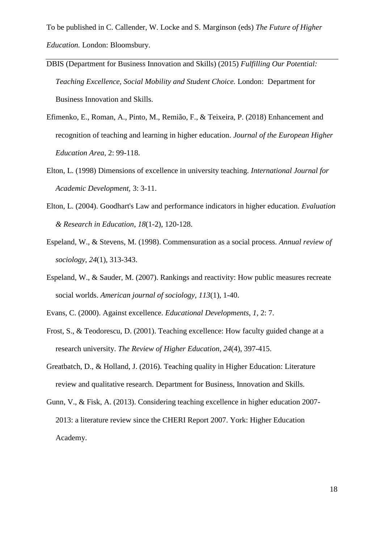- DBIS (Department for Business Innovation and Skills) (2015) *Fulfilling Our Potential: Teaching Excellence, Social Mobility and Student Choice.* London: Department for Business Innovation and Skills.
- Efimenko, E., Roman, A., Pinto, M., Remião, F., & Teixeira, P. (2018) Enhancement and recognition of teaching and learning in higher education. *Journal of the European Higher Education Area,* 2: 99-118.
- Elton, L. (1998) Dimensions of excellence in university teaching. *International Journal for Academic Development,* 3: 3-11.
- Elton, L. (2004). Goodhart's Law and performance indicators in higher education. *Evaluation & Research in Education*, *18*(1-2), 120-128.
- Espeland, W., & Stevens, M. (1998). Commensuration as a social process. *Annual review of sociology*, *24*(1), 313-343.
- Espeland, W., & Sauder, M. (2007). Rankings and reactivity: How public measures recreate social worlds. *American journal of sociology*, *113*(1), 1-40.
- Evans, C. (2000). Against excellence. *Educational Developments*, *1*, 2: 7.
- Frost, S., & Teodorescu, D. (2001). Teaching excellence: How faculty guided change at a research university. *The Review of Higher Education*, *24*(4), 397-415.
- Greatbatch, D., & Holland, J. (2016). Teaching quality in Higher Education: Literature review and qualitative research. Department for Business, Innovation and Skills.
- Gunn, V., & Fisk, A. (2013). Considering teaching excellence in higher education 2007- 2013: a literature review since the CHERI Report 2007. York: Higher Education Academy.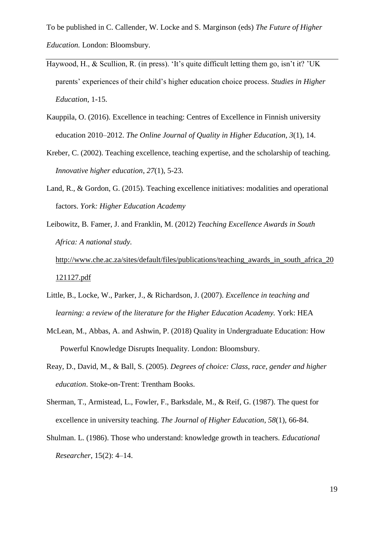- Haywood, H., & Scullion, R. (in press). 'It's quite difficult letting them go, isn't it? 'UK parents' experiences of their child's higher education choice process. *Studies in Higher Education*, 1-15.
- Kauppila, O. (2016). Excellence in teaching: Centres of Excellence in Finnish university education 2010–2012. *The Online Journal of Quality in Higher Education*, *3*(1), 14.
- Kreber, C. (2002). Teaching excellence, teaching expertise, and the scholarship of teaching. *Innovative higher education*, *27*(1), 5-23.
- Land, R., & Gordon, G. (2015). Teaching excellence initiatives: modalities and operational factors. *York: Higher Education Academy*
- Leibowitz, B. Famer, J. and Franklin, M. (2012) *Teaching Excellence Awards in South Africa: A national study.*

[http://www.che.ac.za/sites/default/files/publications/teaching\\_awards\\_in\\_south\\_africa\\_20](http://www.che.ac.za/sites/default/files/publications/teaching_awards_in_south_africa_20121127.pdf) [121127.pdf](http://www.che.ac.za/sites/default/files/publications/teaching_awards_in_south_africa_20121127.pdf)

- Little, B., Locke, W., Parker, J., & Richardson, J. (2007). *Excellence in teaching and learning: a review of the literature for the Higher Education Academy. York: HEA*
- McLean, M., Abbas, A. and Ashwin, P. (2018) Quality in Undergraduate Education: How Powerful Knowledge Disrupts Inequality. London: Bloomsbury.
- Reay, D., David, M., & Ball, S. (2005). *Degrees of choice: Class, race, gender and higher education*. Stoke-on-Trent: Trentham Books.
- Sherman, T., Armistead, L., Fowler, F., Barksdale, M., & Reif, G. (1987). The quest for excellence in university teaching. *The Journal of Higher Education*, *58*(1), 66-84.
- Shulman. L. (1986). Those who understand: knowledge growth in teachers. *Educational Researcher*, 15(2): 4–14.